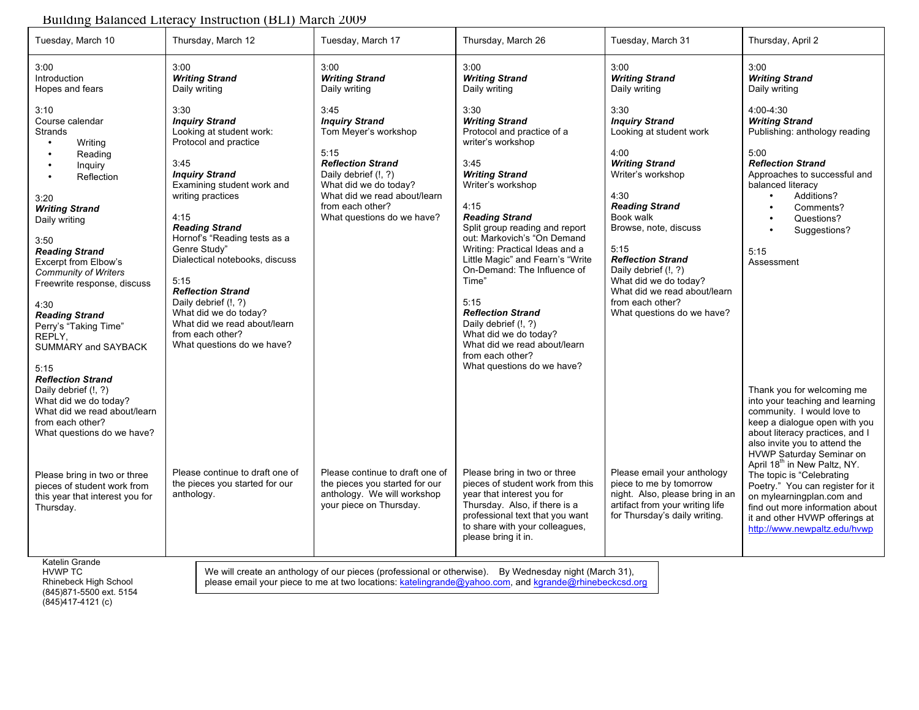## Building Balanced Literacy Instruction (BLI) March 2009

| Tuesday, March 10                                                                                                                                                                                                                                                                                                                                                                 | Thursday, March 12                                                                                                                                                                                                                                                                                                                                                                                                                                               | Tuesday, March 17                                                                                                                                                                                                            | Thursday, March 26                                                                                                                                                                                                                                                                                                                                                                                                                                                                                                            | Tuesday, March 31                                                                                                                                                                                                                                                                                                                                            | Thursday, April 2                                                                                                                                                                                                                                                                                                                                                                                                                                                           |
|-----------------------------------------------------------------------------------------------------------------------------------------------------------------------------------------------------------------------------------------------------------------------------------------------------------------------------------------------------------------------------------|------------------------------------------------------------------------------------------------------------------------------------------------------------------------------------------------------------------------------------------------------------------------------------------------------------------------------------------------------------------------------------------------------------------------------------------------------------------|------------------------------------------------------------------------------------------------------------------------------------------------------------------------------------------------------------------------------|-------------------------------------------------------------------------------------------------------------------------------------------------------------------------------------------------------------------------------------------------------------------------------------------------------------------------------------------------------------------------------------------------------------------------------------------------------------------------------------------------------------------------------|--------------------------------------------------------------------------------------------------------------------------------------------------------------------------------------------------------------------------------------------------------------------------------------------------------------------------------------------------------------|-----------------------------------------------------------------------------------------------------------------------------------------------------------------------------------------------------------------------------------------------------------------------------------------------------------------------------------------------------------------------------------------------------------------------------------------------------------------------------|
| 3:00<br>Introduction<br>Hopes and fears                                                                                                                                                                                                                                                                                                                                           | 3:00<br><b>Writing Strand</b><br>Daily writing                                                                                                                                                                                                                                                                                                                                                                                                                   | 3:00<br><b>Writing Strand</b><br>Daily writing                                                                                                                                                                               | 3:00<br><b>Writing Strand</b><br>Daily writing                                                                                                                                                                                                                                                                                                                                                                                                                                                                                | 3:00<br><b>Writing Strand</b><br>Daily writing                                                                                                                                                                                                                                                                                                               | 3:00<br><b>Writing Strand</b><br>Daily writing                                                                                                                                                                                                                                                                                                                                                                                                                              |
| 3:10<br>Course calendar<br><b>Strands</b><br>Writing<br>Reading<br>Inquiry<br>$\bullet$<br>Reflection<br>3:20<br><b>Writing Strand</b><br>Daily writing<br>3:50<br><b>Reading Strand</b><br>Excerpt from Elbow's<br><b>Community of Writers</b><br>Freewrite response, discuss<br>4:30<br><b>Reading Strand</b><br>Perry's "Taking Time"<br>REPLY,<br>SUMMARY and SAYBACK<br>5:15 | 3:30<br><b>Inquiry Strand</b><br>Looking at student work:<br>Protocol and practice<br>3:45<br><b>Inquiry Strand</b><br>Examining student work and<br>writing practices<br>4:15<br><b>Reading Strand</b><br>Hornof's "Reading tests as a<br>Genre Study"<br>Dialectical notebooks, discuss<br>5:15<br><b>Reflection Strand</b><br>Daily debrief (!, ?)<br>What did we do today?<br>What did we read about/learn<br>from each other?<br>What questions do we have? | 3:45<br><b>Inquiry Strand</b><br>Tom Meyer's workshop<br>5:15<br><b>Reflection Strand</b><br>Daily debrief (!, ?)<br>What did we do today?<br>What did we read about/learn<br>from each other?<br>What questions do we have? | 3:30<br><b>Writing Strand</b><br>Protocol and practice of a<br>writer's workshop<br>3:45<br><b>Writing Strand</b><br>Writer's workshop<br>4:15<br><b>Reading Strand</b><br>Split group reading and report<br>out: Markovich's "On Demand<br>Writing: Practical Ideas and a<br>Little Magic" and Fearn's "Write<br>On-Demand: The Influence of<br>Time"<br>5:15<br><b>Reflection Strand</b><br>Daily debrief (!, ?)<br>What did we do today?<br>What did we read about/learn<br>from each other?<br>What questions do we have? | 3:30<br><b>Inquiry Strand</b><br>Looking at student work<br>4:00<br><b>Writing Strand</b><br>Writer's workshop<br>4:30<br><b>Reading Strand</b><br>Book walk<br>Browse, note, discuss<br>5:15<br><b>Reflection Strand</b><br>Daily debrief (!, ?)<br>What did we do today?<br>What did we read about/learn<br>from each other?<br>What questions do we have? | 4:00-4:30<br><b>Writing Strand</b><br>Publishing: anthology reading<br>5:00<br><b>Reflection Strand</b><br>Approaches to successful and<br>balanced literacy<br>Additions?<br>Comments?<br>Questions?<br>Suggestions?<br>5:15<br>Assessment                                                                                                                                                                                                                                 |
| <b>Reflection Strand</b><br>Daily debrief (!, ?)<br>What did we do today?<br>What did we read about/learn<br>from each other?<br>What questions do we have?<br>Please bring in two or three<br>pieces of student work from<br>this year that interest you for<br>Thursday.                                                                                                        | Please continue to draft one of<br>the pieces you started for our<br>anthology.                                                                                                                                                                                                                                                                                                                                                                                  | Please continue to draft one of<br>the pieces you started for our<br>anthology. We will workshop<br>your piece on Thursday.                                                                                                  | Please bring in two or three<br>pieces of student work from this<br>year that interest you for<br>Thursday. Also, if there is a<br>professional text that you want<br>to share with your colleagues,<br>please bring it in.                                                                                                                                                                                                                                                                                                   | Please email your anthology<br>piece to me by tomorrow<br>night. Also, please bring in an<br>artifact from your writing life<br>for Thursday's daily writing.                                                                                                                                                                                                | Thank you for welcoming me<br>into your teaching and learning<br>community. I would love to<br>keep a dialogue open with you<br>about literacy practices, and I<br>also invite you to attend the<br>HVWP Saturday Seminar on<br>April 18 <sup>th</sup> in New Paltz, NY.<br>The topic is "Celebrating<br>Poetry." You can register for it<br>on mylearningplan.com and<br>find out more information about<br>it and other HVWP offerings at<br>http://www.newpaltz.edu/hvwp |
| Katelin Grande<br>We will create an anthology of our pieces (professional or otherwise). By Wednesday night (March 31),<br><b>HVWP TC</b><br>please email your piece to me at two locations: katelingrande@yahoo.com, and kgrande@rhinebeckcsd.org<br>Rhinebeck High School<br>(845) 871-5500 ext. 5154                                                                           |                                                                                                                                                                                                                                                                                                                                                                                                                                                                  |                                                                                                                                                                                                                              |                                                                                                                                                                                                                                                                                                                                                                                                                                                                                                                               |                                                                                                                                                                                                                                                                                                                                                              |                                                                                                                                                                                                                                                                                                                                                                                                                                                                             |

(845)417-4121 (c)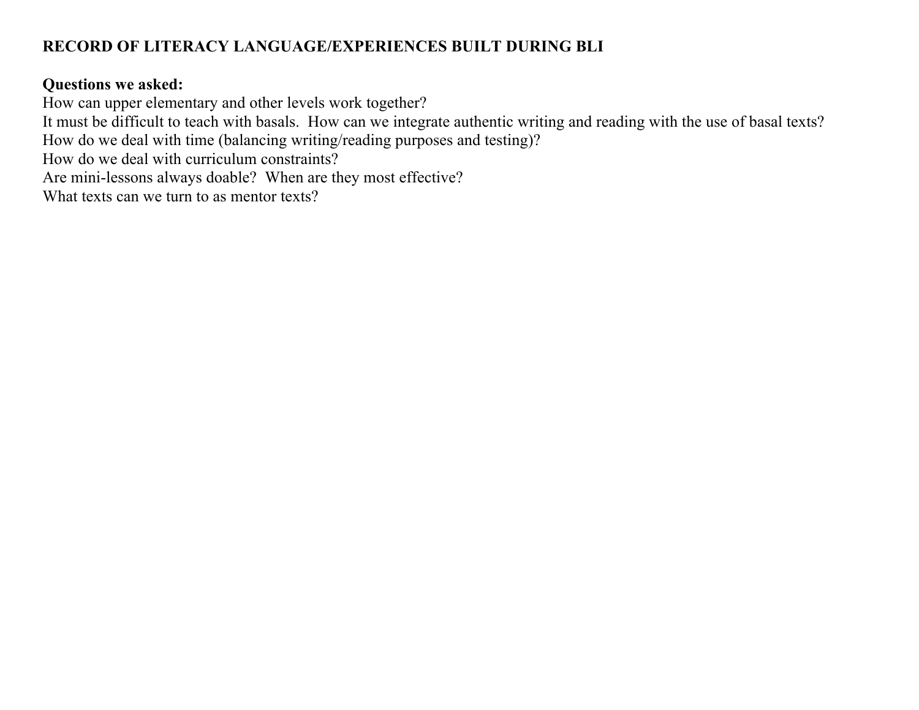## **RECORD OF LITERACY LANGUAGE/EXPERIENCES BUILT DURING BLI**

## **Questions we asked:**

How can upper elementary and other levels work together?

It must be difficult to teach with basals. How can we integrate authentic writing and reading with the use of basal texts?

How do we deal with time (balancing writing/reading purposes and testing)?

How do we deal with curriculum constraints?

Are mini-lessons always doable? When are they most effective?

What texts can we turn to as mentor texts?